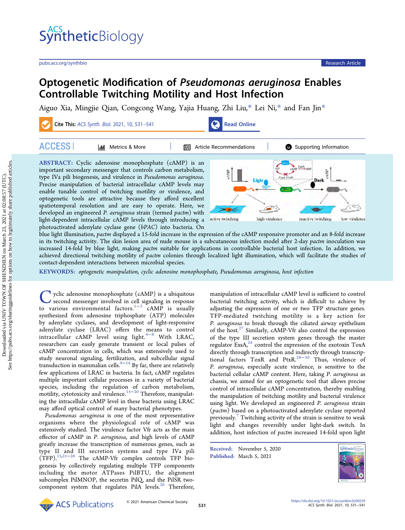# **Synthetic**Biology

[pubs.acs.org/synthbio](pubs.acs.org/synthbio?ref=pdf) Research Article

## Optogenetic Modification of Pseudomonas aeruginosa Enables Controllable Twitching Motility and Host Infection

[Aiguo Xia,](https://pubs.acs.org/action/doSearch?field1=Contrib&text1="Aiguo+Xia"&field2=AllField&text2=&publication=&accessType=allContent&Earliest=&ref=pdf) [Mingjie Qian,](https://pubs.acs.org/action/doSearch?field1=Contrib&text1="Mingjie+Qian"&field2=AllField&text2=&publication=&accessType=allContent&Earliest=&ref=pdf) [Congcong Wang,](https://pubs.acs.org/action/doSearch?field1=Contrib&text1="Congcong+Wang"&field2=AllField&text2=&publication=&accessType=allContent&Earliest=&ref=pdf) [Yajia Huang,](https://pubs.acs.org/action/doSearch?field1=Contrib&text1="Yajia+Huang"&field2=AllField&text2=&publication=&accessType=allContent&Earliest=&ref=pdf) [Zhi Liu,](https://pubs.acs.org/action/doSearch?field1=Contrib&text1="Zhi+Liu"&field2=AllField&text2=&publication=&accessType=allContent&Earliest=&ref=pdf)[\\*](#page-8-0) [Lei Ni,](https://pubs.acs.org/action/doSearch?field1=Contrib&text1="Lei+Ni"&field2=AllField&text2=&publication=&accessType=allContent&Earliest=&ref=pdf)[\\*](#page-8-0) [and Fan Jin](https://pubs.acs.org/action/doSearch?field1=Contrib&text1="Fan+Jin"&field2=AllField&text2=&publication=&accessType=allContent&Earliest=&ref=pdf)[\\*](#page-8-0)

Cite This: [ACS Synth. Biol.](https://pubs.acs.org/action/showCitFormats?doi=10.1021/acssynbio.0c00559&ref=pdf) 2021, 10, 531–541 [Read Online](https://pubs.acs.org/doi/10.1021/acssynbio.0c00559?ref=pdf)



| <b>ACCESS</b><br>Metrics & More<br>l de l                                                                                                                                                                                                                                                                                                                                                            | <b>II</b> Article Recommendations<br>Supporting Information |
|------------------------------------------------------------------------------------------------------------------------------------------------------------------------------------------------------------------------------------------------------------------------------------------------------------------------------------------------------------------------------------------------------|-------------------------------------------------------------|
| ABSTRACT: Cyclic adenosine monophosphate (cAMP) is an<br>important secondary messenger that controls carbon metabolism,<br>type IVa pili biogenesis, and virulence in Pseudomonas aeruginosa.<br>Precise manipulation of bacterial intracellular cAMP levels may<br>enable tunable control of twitching motility or virulence, and<br>optogenetic tools are attractive because they afford excellent |                                                             |

developed an engineered P. aeruginosa strain (termed pactm) with light-dependent intracellular cAMP levels through introducing a photoactivated adenylate cyclase gene (bPAC) into bacteria. On

spatiotemporal resolution and are easy to operate. Here, we



blue light illumination, pactm displayed a 15-fold increase in the expression of the cAMP responsive promoter and an 8-fold increase in its twitching activity. The skin lesion area of nude mouse in a subcutaneous infection model after 2-day pactm inoculation was increased 14-fold by blue light, making *pactm* suitable for applications in controllable bacterial host infection. In addition, we achieved directional twitching motility of pactm colonies through localized light illumination, which will facilitate the studies of contact-dependent interactions between microbial species.

KEYWORDS: optogenetic manipulation, cyclic adenosine monophosphate, Pseudomonas aeruginosa, host infection

 $\sum$  yclic adenosine monophosphate (cAMP) is a ubiquitous<br>second messenger involved in cell signaling in response<br>to various environmental factors  $1-3$  cAMP is usually to various environmental factors.<sup>1−3</sup> cAMP is usually synthesized from adenosine triphosphate (ATP) molecules by adenylate cyclases, and development of light-responsive adenylate cyclase (LRAC) offers the means to control intracellular cAMP level using light. $4-8$  $4-8$  $4-8$  With LRAC, researchers can easily generate transient or local pulses of cAMP concentration in cells, which was extensively used to study neuronal signaling, fertilization, and subcellular signal transduction in mammalian cells.<sup>[9](#page-9-0)−[14](#page-9-0)</sup> By far, there are relatively few applications of LRAC in bacteria. In fact, cAMP regulates multiple important cellular processes in a variety of bacterial species, including the regulation of carbon metabolism, motility, cytotoxicity and virulence.[15](#page-9-0)−[20](#page-9-0) Therefore, manipulating the intracellular cAMP level in these bacteria using LRAC may afford optical control of many bacterial phenotypes.

Pseudomonas aeruginosa is one of the most representative organisms where the physiological role of cAMP was extensively studied. The virulence factor Vfr acts as the main effector of cAMP in P. aeruginosa, and high levels of cAMP greatly increase the transcription of numerous genes, such as type II and III secretion systems and type IVa pili (TFP).[15,21](#page-9-0)−[26](#page-9-0) The cAMP-Vfr complex controls TFP biogenesis by collectively regulating multiple TFP components including the motor ATPases PilBTU, the alignment subcomplex PilMNOP, the secretin PilQ, and the PilSR two-component system that regulates PilA levels.<sup>[26](#page-9-0)</sup> Therefore, manipulation of intracellular cAMP level is sufficient to control bacterial twitching activity, which is difficult to achieve by adjusting the expression of one or two TFP structure genes. TFP-mediated twitching motility is a key action for P. aeruginosa to break through the ciliated airway epithelium of the host. $27$  Similarly, cAMP-Vfr also control the expression of the type III secretion system genes through the master regulator ExsA $^{24}$  $^{24}$  $^{24}$  control the expression of the exotoxin ToxA directly through transcription and indirectly through transcrip-tional factors ToxR and PtxR.<sup>[28](#page-9-0)-[30](#page-9-0)</sup> Thus, virulence of P. aeruginosa, especially acute virulence, is sensitive to the bacterial cellular cAMP content. Here, taking P. aeruginosa as chassis, we aimed for an optogenetic tool that allows precise control of intracellular cAMP concentration, thereby enabling the manipulation of twitching motility and bacterial virulence using light. We developed an engineered P. aeruginosa strain (pactm) based on a photoactivated adenylate cyclase reported previously.<sup>[7](#page-9-0)</sup> Twitching activity of the strain is sensitive to weak light and changes reversibly under light-dark switch. In addition, host infection of *pactm* increased 14-fold upon light

Received: November 5, 2020 Published: March 5, 2021



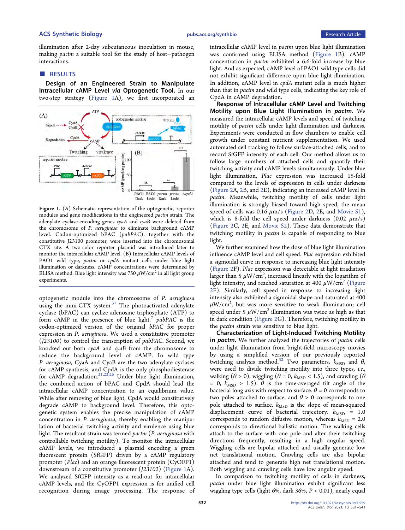illumination after 2-day subcutaneous inoculation in mouse, making pactm a suitable tool for the study of host−pathogen interactions.

#### ■ RESULTS

Design of an Engineered Strain to Manipulate Intracellular cAMP Level via Optogenetic Tool. In our two-step strategy (Figure 1A), we first incorporated an



Figure 1. (A) Schematic representation of the optogenetic, reporter modules and gene modifications in the engineered pactm strain. The adenylate cyclase-encoding genes cyaA and cyaB were deleted from the chromosome of P. aeruginosa to eliminate background cAMP level. Codon-optimized bPAC (pabPAC), together with the constitutive J23100 promoter, were inserted into the chromosomal CTX site. A two-color reporter plasmid was introduced later to monitor the intracellular cAMP level. (B) Intracellular cAMP levels of PAO1 wild type, pactm or cpdA mutant cells under blue light illumination or darkness. cAMP concentrations were determined by ELISA method. Blue light intensity was 750  $\mu$ W/cm<sup>2</sup> in all light group experiments.

optogenetic module into the chromosome of P. aeruginosa using the mini-CTX system. $31$  The photoactivated adenylate cyclase (bPAC) can cyclize adenosine triphosphate (ATP) to form  $cAMP$  in the presence of blue light.<sup>7</sup> pabPAC is the codon-optimized version of the original bPAC for proper expression in P. aeruginosa. We used a constitutive promoter (J23100) to control the transcription of pabPAC. Second, we knocked out both cyaA and cyaB from the chromosome to reduce the background level of cAMP. In wild type P. aeruginosa, CyaA and CyaB are the two adenylate cyclases for cAMP synthesis, and CpdA is the only phosphodiesterase for cAMP degradation.<sup>[21,22,26](#page-9-0)</sup> Under blue light illumination, the combined action of bPAC and CpdA should lead the intracellular cAMP concentration to an equilibrium value. While after removing of blue light, CpdA would constitutively degrade cAMP to background level. Therefore, this optogenetic system enables the precise manipulation of cAMP concentration in P. aeruginosa, thereby enabling the manipulation of bacterial twitching activity and virulence using blue light. The resultant strain was termed pactm (P. aeruginosa with controllable twitching motility). To monitor the intracellular cAMP levels, we introduced a plasmid encoding a green fluorescent protein (SfGFP) driven by a cAMP regulatory promoter (Plac) and an orange fluorescent protein (CyOFP1) downstream of a constitutive promoter (J23102) (Figure 1A). We analyzed SfGFP intensity as a read-out for intracellular cAMP levels, and the CyOFP1 expression is for unified cell recognition during image processing. The response of intracellular cAMP level in *pactm* upon blue light illumination was confirmed using ELISA method (Figure 1B), cAMP concentration in pactm exhibited a 6.6-fold increase by blue light. And as expected, cAMP level of PAO1 wild type cells did not exhibit significant difference upon blue light illumination. In addition, cAMP level in cpdA mutant cells is much higher than that in *pactm* and wild type cells, indicating the key role of CpdA in cAMP degradation.

Response of Intracellular cAMP Level and Twitching Motility upon Blue Light Illumination in pactm. We measured the intracellular cAMP levels and speed of twitching motility of pactm cells under light illumination and darkness. Experiments were conducted in flow chambers to enable cell growth under constant nutrient supplementation. We used automated cell tracking to follow surface-attached cells, and to record SfGFP intensity of each cell. Our method allows us to follow large numbers of attached cells and quantify their twitching activity and cAMP levels simultaneously. Under blue light illumination, Plac expression was increased 15-fold compared to the levels of expression in cells under darkness ([Figure 2](#page-2-0)A, [2B](#page-2-0), and [2](#page-2-0)E), indicating an increased cAMP level in pactm. Meanwhile, twitching motility of cells under light illumination is strongly biased toward high speed, the mean speed of cells was 0.16  $\mu$ m/s [\(Figure 2](#page-2-0)D, [2](#page-2-0)E, and [Movie S1](#page-8-0)), which is 8-fold the cell speed under darkness  $(0.02 \mu m/s)$ ([Figure 2](#page-2-0)C, [2E](#page-2-0), and [Movie S2](http://pubs.acs.org/doi/suppl/10.1021/acssynbio.0c00559/suppl_file/sb0c00559_si_002.avi)). These data demonstrate that twitching motility in *pactm* is capable of responding to blue light.

We further examined how the dose of blue light illumination influence cAMP level and cell speed. Plac expression exhibited a sigmoidal curve in response to increasing blue light intensity ([Figure 2F](#page-2-0)). Plac expression was detectable at light irradiation larger than 5  $\mu$ W/cm $^2$ , increased linearly with the logarithm of light intensity, and reached saturation at 400  $\mu$ W/cm<sup>2</sup> [\(Figure](#page-2-0) [2](#page-2-0)F). Similarly, cell speed in response to increasing light intensity also exhibited a sigmoidal shape and saturated at 400  $\mu$ W/cm $^2$ , but was more sensitive to weak illumination; cell speed under 5  $\mu$ W/cm<sup>2</sup> illumination was twice as high as that in dark condition ([Figure 2G](#page-2-0)). Therefore, twitching motility in the pactm strain was sensitive to blue light.

Characterization of Light-Induced Twitching Motility in *pactm*. We further analyzed the trajectories of *pactm* cells under light illumination from bright-field microscopy movies by using a simplified version of our previously reported twitching analysis method.<sup>[32](#page-9-0)</sup> Two parameters,  $k_{\text{MSD}}$  and  $\theta$ , were used to divide twitching motility into three types, i.e., walking ( $\theta > 0$ ), wiggling ( $\theta = 0$ ,  $k_{\text{MSD}} < 1.5$ ), and crawling ( $\theta$ = 0,  $k_{\text{MSD}}$  > 1.5).  $\theta$  is the time-averaged tilt angle of the bacterial long axis with respect to surface.  $\theta = 0$  corresponds to two poles attached to surface, and  $\theta > 0$  corresponds to one pole attached to surface.  $k_{\text{MSD}}$  is the slope of mean-squared displacement curve of bacterial trajectory.  $k_{\text{MSD}} = 1.0$ corresponds to random diffusive motion, whereas  $k_{\text{MSD}} = 2.0$ corresponds to directional ballistic motion. The walking cells attach to the surface with one pole and alter their twitching directions frequently, resulting in a high angular speed. Wiggling cells are bipolar attached and usually generate low net translational motion. Crawling cells are also bipolar attached and tend to generate high net translational motion. Both wiggling and crawling cells have low angular speed.

In comparison to twitching motility of cells in darkness, pactm under blue light illumination exhibit significant less wiggling type cells (light 6%, dark 36%, P < 0.01), nearly equal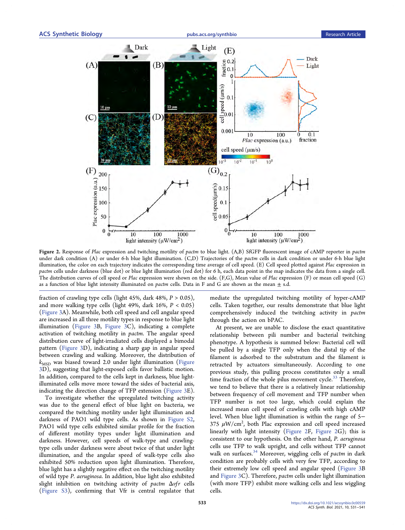<span id="page-2-0"></span>

Figure 2. Response of Plac expression and twitching motility of pactm to blue light. (A,B) SfGFP fluorescent image of cAMP reporter in pactm under dark condition (A) or under 6-h blue light illumination. (C,D) Trajectories of the pactm cells in dark condition or under 6-h blue light illumination, the color on each trajectory indicates the corresponding time average of cell speed. (E) Cell speed plotted against Plac expression in pactm cells under darkness (blue dot) or blue light illumination (red dot) for 6 h, each data point in the map indicates the data from a single cell. The distribution curves of cell speed or Plac expression were shown on the side. (F,G), Mean value of Plac expression (F) or mean cell speed (G) as a function of blue light intensity illuminated on pactm cells. Data in F and G are shown as the mean  $\pm$  s.d.

fraction of crawling type cells (light 45%, dark 48%,  $P > 0.05$ ), and more walking type cells (light 49%, dark  $16\%$ ,  $P < 0.05$ ) ([Figure 3](#page-3-0)A). Meanwhile, both cell speed and cell angular speed are increased in all three motility types in response to blue light illumination [\(Figure 3B](#page-3-0), [Figure 3](#page-3-0)C), indicating a complete activation of twitching motility in pactm. The angular speed distribution curve of light-irradiated cells displayed a bimodal pattern ([Figure 3](#page-3-0)D), indicating a sharp gap in angular speed between crawling and walking. Moreover, the distribution of  $k_{\text{MSD}}$  was biased toward 2.0 under light illumination [\(Figure](#page-3-0) [3](#page-3-0)D), suggesting that light-exposed cells favor ballistic motion. In addition, compared to the cells kept in darkness, blue lightilluminated cells move more toward the sides of bacterial axis, indicating the direction change of TFP extension ([Figure 3E](#page-3-0)).

To investigate whether the upregulated twitching activity was due to the general effect of blue light on bacteria, we compared the twitching motility under light illumination and darkness of PAO1 wild type cells. As shown in [Figure S2](http://pubs.acs.org/doi/suppl/10.1021/acssynbio.0c00559/suppl_file/sb0c00559_si_003.pdf), PAO1 wild type cells exhibited similar profile for the fraction of different motility types under light illumination and darkness. However, cell speeds of walk-type and crawlingtype cells under darkness were about twice of that under light illumination, and the angular speed of walk-type cells also exhibited 50% reduction upon light illumination. Therefore, blue light has a slightly negative effect on the twitching motility of wild type P. aeruginosa. In addition, blue light also exhibited slight inhibition on twitching activity of pactm  $\Delta v$ fr cells ([Figure S3](http://pubs.acs.org/doi/suppl/10.1021/acssynbio.0c00559/suppl_file/sb0c00559_si_003.pdf)), confirming that Vfr is central regulator that

mediate the upregulated twitching motility of hyper-cAMP cells. Taken together, our results demonstrate that blue light comprehensively induced the twitching activity in pactm through the action on bPAC.

At present, we are unable to disclose the exact quantitative relationship between pili number and bacterial twitching phenotype. A hypothesis is summed below: Bacterial cell will be pulled by a single TFP only when the distal tip of the filament is adsorbed to the substratum and the filament is retracted by actuators simultaneously. According to one previous study, this pulling process constitutes only a small time fraction of the whole pilus movement cycle.<sup>33</sup> Therefore, we tend to believe that there is a relatively linear relationship between frequency of cell movement and TFP number when TFP number is not too large, which could explain the increased mean cell speed of crawling cells with high cAMP level. When blue light illumination is within the range of 5− 375  $\mu$ W/cm<sup>2</sup>, both Plac expression and cell speed increased linearly with light intensity (Figure 2F, Figure 2G); this is consistent to our hypothesis. On the other hand, P. aeruginosa cells use TFP to walk upright, and cells without TFP cannot walk on surfaces.<sup>[34](#page-9-0)</sup> Moreover, wiggling cells of pactm in dark condition are probably cells with very few TFP, according to their extremely low cell speed and angular speed ([Figure 3B](#page-3-0) and [Figure 3C](#page-3-0)). Therefore, pactm cells under light illumination (with more TFP) exhibit more walking cells and less wiggling cells.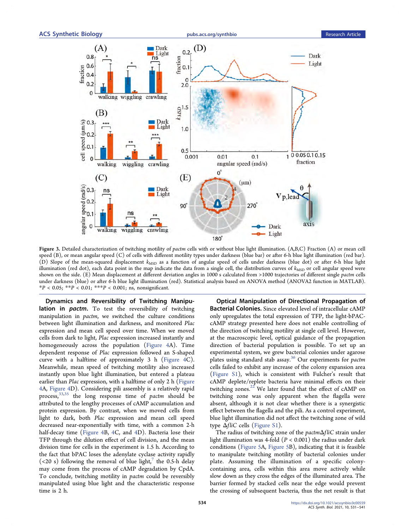<span id="page-3-0"></span>

Figure 3. Detailed characterization of twitching motility of pactm cells with or without blue light illumination. (A,B,C) Fraction (A) or mean cell speed (B), or mean angular speed (C) of cells with different motility types under darkness (blue bar) or after 6-h blue light illumination (red bar). (D) Slope of the mean-squared displacement  $k_{\rm MSD}$  as a function of angular speed of cells under darkness (blue dot) or after 6-h blue light illumination (red dot), each data point in the map indicate the data from a single cell, the distribution curves of  $k_{\text{MSD}}$  or cell angular speed were shown on the side. (E) Mean displacement at different deviation angles in 1000 s calculated from >1000 trajectories of different single pactm cells under darkness (blue) or after 6-h blue light illumination (red). Statistical analysis based on ANOVA method (ANOVA2 function in MATLAB).  $*P < 0.05$ ;  $*P < 0.01$ ;  $*+P < 0.001$ ; ns, nonsignificant.

Dynamics and Reversibility of Twitching Manipulation in *pactm*. To test the reversibility of twitching manipulation in pactm, we switched the culture conditions between light illumination and darkness, and monitored Plac expression and mean cell speed over time. When we moved cells from dark to light, Plac expression increased instantly and homogeneously across the population [\(Figure 4](#page-4-0)A). Time dependent response of Plac expression followed an S-shaped curve with a halftime of approximately 3 h ([Figure 4C](#page-4-0)). Meanwhile, mean speed of twitching motility also increased instantly upon blue light illumination, but entered a plateau earlier than Plac expression, with a halftime of only 2 h [\(Figure](#page-4-0) [4](#page-4-0)A, [Figure 4D](#page-4-0)). Considering pili assembly is a relatively rapid process,<sup>[33,35](#page-9-0)</sup> the long response time of pactm should be attributed to the lengthy processes of cAMP accumulation and protein expression. By contrast, when we moved cells from light to dark, both Plac expression and mean cell speed decreased near-exponentially with time, with a common 2-h half-decay time ([Figure 4B](#page-4-0), [4](#page-4-0)C, and 4D). Bacteria lose their TFP through the dilution effect of cell division, and the mean division time for cells in the experiment is 1.5 h. According to the fact that bPAC loses the adenylate cyclase activity rapidly (<20 s) following the removal of blue light, $7$  the 0.5-h delay may come from the process of cAMP degradation by CpdA. To conclude, twitching motility in pactm could be reversibly manipulated using blue light and the characteristic response time is 2 h.

Optical Manipulation of Directional Propagation of Bacterial Colonies. Since elevated level of intracellular cAMP only upregulates the total expression of TFP, the light-bPACcAMP strategy presented here does not enable controlling of the direction of twitching motility at single cell level. However, at the macroscopic level, optical guidance of the propagation direction of bacterial population is possible. To set up an experimental system, we grew bacterial colonies under agarose plates using standard stab assay.<sup>36</sup> Our experiments for *pactm* cells failed to exhibit any increase of the colony expansion area ([Figure S1\)](http://pubs.acs.org/doi/suppl/10.1021/acssynbio.0c00559/suppl_file/sb0c00559_si_003.pdf), which is consistent with Fulcher's result that cAMP deplete/replete bacteria have minimal effects on their twitching zones.<sup>[22](#page-9-0)</sup> We later found that the effect of cAMP on twitching zone was only apparent when the flagella were absent, although it is not clear whether there is a synergistic effect between the flagella and the pili. As a control experiment, blue light illumination did not affect the twitching zone of wild type  $\Delta fliC$  cells ([Figure S1](http://pubs.acs.org/doi/suppl/10.1021/acssynbio.0c00559/suppl_file/sb0c00559_si_003.pdf)).

The radius of twitching zone of the pactmΔfliC strain under light illumination was 4-fold ( $P < 0.001$ ) the radius under dark conditions [\(Figure 5](#page-5-0)A, [Figure 5B](#page-5-0)), indicating that it is feasible to manipulate twitching motility of bacterial colonies under plate. Assuming the illumination of a specific colonycontaining area, cells within this area move actively while slow down as they cross the edges of the illuminated area. The barrier formed by stacked cells near the edge would prevent the crossing of subsequent bacteria, thus the net result is that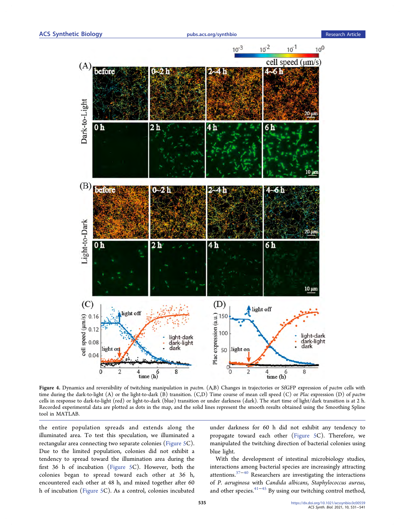<span id="page-4-0"></span>

Figure 4. Dynamics and reversibility of twitching manipulation in pactm. (A,B) Changes in trajectories or SfGFP expression of pactm cells with time during the dark-to-light (A) or the light-to-dark (B) transition. (C,D) Time course of mean cell speed (C) or Plac expression (D) of pactm cells in response to dark-to-light (red) or light-to-dark (blue) transition or under darkness (dark). The start time of light/dark transition is at 2 h. Recorded experimental data are plotted as dots in the map, and the solid lines represent the smooth results obtained using the Smoothing Spline tool in MATLAB.

the entire population spreads and extends along the illuminated area. To test this speculation, we illuminated a rectangular area connecting two separate colonies ([Figure 5C](#page-5-0)). Due to the limited population, colonies did not exhibit a tendency to spread toward the illumination area during the first 36 h of incubation ([Figure 5](#page-5-0)C). However, both the colonies began to spread toward each other at 36 h, encountered each other at 48 h, and mixed together after 60 h of incubation [\(Figure 5C](#page-5-0)). As a control, colonies incubated

under darkness for 60 h did not exhibit any tendency to propagate toward each other [\(Figure 5](#page-5-0)C). Therefore, we manipulated the twitching direction of bacterial colonies using blue light.

With the development of intestinal microbiology studies, interactions among bacterial species are increasingly attracting attentions.[37](#page-9-0)−[40](#page-9-0) Researchers are investigating the interactions of P. aeruginosa with Candida albicans, Staphylococcus aureus, and other species.[41](#page-10-0)−[45](#page-10-0) By using our twitching control method,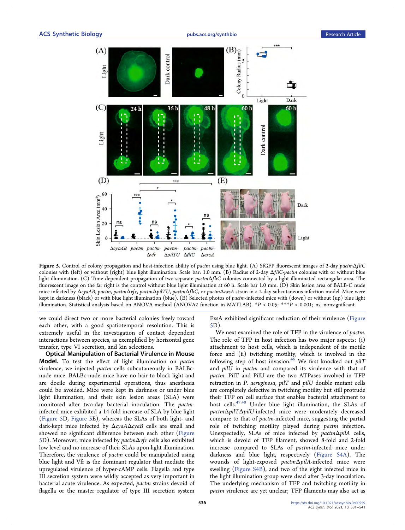<span id="page-5-0"></span>

Figure 5. Control of colony propagation and host-infection ability of pactm using blue light. (A) SfGFP fluorescent images of 2-day pactmΔfliC colonies with (left) or without (right) blue light illumination. Scale bar: 1.0 mm. (B) Radius of 2-day ΔfliC-pactm colonies with or without blue light illumination. (C) Time dependent propagation of two separate pactmΔfliC colonies connected by a light illuminated rectangular area. The fluorescent image on the far right is the control without blue light illumination at 60 h. Scale bar 1.0 mm. (D) Skin lesion area of BALB-C nude mice infected by ΔcyaAB, pactm, pactmΔpfr, pactmΔpilTU, pactmΔfliC, or pactmΔexsA strain in a 2-day subcutaneous infection model. Mice were kept in darkness (black) or with blue light illumination (blue). (E) Selected photos of pactm-infected mice with (down) or without (up) blue light illumination. Statistical analysis based on ANOVA method (ANOVA2 function in MATLAB). \*P < 0.05; \*\*\*P < 0.001; ns, nonsignificant.

we could direct two or more bacterial colonies freely toward each other, with a good spatiotemporal resolution. This is extremely useful in the investigation of contact dependent interactions between species, as exemplified by horizontal gene transfer, type VI secretion, and kin selections.

Optical Manipulation of Bacterial Virulence in Mouse Model. To test the effect of light illumination on pactm virulence, we injected pactm cells subcutaneously in BALBcnude mice. BALBc-nude mice have no hair to block light and are docile during experimental operations, thus anesthesia could be avoided. Mice were kept in darkness or under blue light illumination, and their skin lesion areas (SLA) were monitored after two-day bacterial inoculation. The pactminfected mice exhibited a 14-fold increase of SLA by blue light (Figure 5D, Figure 5E), whereas the SLAs of both light- and dark-kept mice infected by ΔcyaAΔcyaB cells are small and showed no significant difference between each other (Figure 5D). Moreover, mice infected by pactmΔvfr cells also exhibited low level and no increase of their SLAs upon light illumination. Therefore, the virulence of *pactm* could be manipulated using blue light and Vfr is the dominant regulator that mediate the upregulated virulence of hyper-cAMP cells. Flagella and type III secretion system were wildly accepted as very important in bacterial acute virulence. As expected, pactm strains devoid of flagella or the master regulator of type III secretion system

ExsA exhibited significant reduction of their virulence (Figure 5D).

We next examined the role of TFP in the virulence of pactm. The role of TFP in host infection has two major aspects: (i) attachment to host cells, which is independent of its motile force and (ii) twitching motility, which is involved in the following step of host invasion.<sup>[46](#page-10-0)</sup> We first knocked out  $piT$ and pilU in pactm and compared its virulence with that of pactm. PilT and PilU are the two ATPases involved in TFP retraction in P. aeruginosa, pilT and pilU double mutant cells are completely defective in twitching motility but still protrude their TFP on cell surface that enables bacterial attachment to host cells.[47,48](#page-10-0) Under blue light illumination, the SLAs of pactmΔpilTΔpilU-infected mice were moderately decreased compare to that of pactm-infected mice, suggesting the partial role of twitching motility played during pactm infection. Unexpectedly, SLAs of mice infected by pactmΔpilA cells, which is devoid of TFP filament, showed 8-fold and 2-fold increase compared to SLAs of pactm-infected mice under darkness and blue light, respectively [\(Figure S4A](http://pubs.acs.org/doi/suppl/10.1021/acssynbio.0c00559/suppl_file/sb0c00559_si_003.pdf)). The wounds of light-exposed pactmΔpilA-infected mice were swelling ([Figure S4B](http://pubs.acs.org/doi/suppl/10.1021/acssynbio.0c00559/suppl_file/sb0c00559_si_003.pdf)), and two of the eight infected mice in the light illumination group were dead after 3-day inoculation. The underlying mechanism of TFP and twitching motility in pactm virulence are yet unclear; TFP filaments may also act as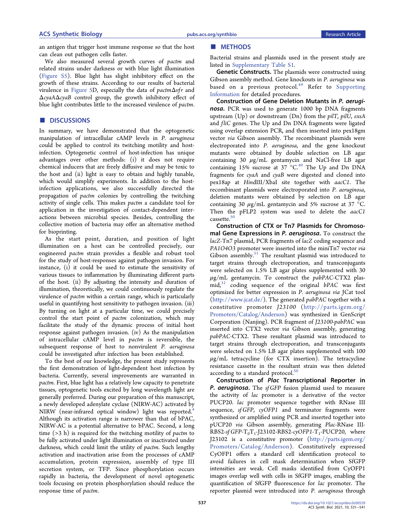ACS Synthetic Biology **Example 2018** [pubs.acs.org/synthbio](pubs.acs.org/synthbio?ref=pdf) Research Article

an antigen that trigger host immune response so that the host can clean out pathogen cells faster.

We also measured several growth curves of pactm and related strains under darkness or with blue light illumination ([Figure S5\)](http://pubs.acs.org/doi/suppl/10.1021/acssynbio.0c00559/suppl_file/sb0c00559_si_003.pdf). Blue light has slight inhibitory effect on the growth of these strains. According to our results of bacterial virulence in [Figure 5D](#page-5-0), especially the data of  $\text{partm}\Delta \text{v}$  and ΔcyaAΔcyaB control group, the growth inhibitory effect of blue light contributes little to the increased virulence of pactm.

### **DISCUSSIONS**

In summary, we have demonstrated that the optogenetic manipulation of intracellular cAMP levels in P. aeruginosa could be applied to control its twitching motility and hostinfection. Optogenetic control of host-infection has unique advantages over other methods: (i) it does not require chemical inducers that are freely diffusive and may be toxic to the host and (ii) light is easy to obtain and highly tunable, which would simplify experiments. In addition to the hostinfection applications, we also successfully directed the propagation of pactm colonies by controlling the twitching activity of single cells. This makes pactm a candidate tool for application in the investigation of contact-dependent interactions between microbial species. Besides, controlling the collective motion of bacteria may offer an alternative method for bioprinting.

As the start point, duration, and position of light illumination on a host can be controlled precisely, our engineered pactm strain provides a flexible and robust tool for the study of host-responses against pathogen invasion. For instance, (i) it could be used to estimate the sensitivity of various tissues to inflammation by illuminating different parts of the host. (ii) By adjusting the intensity and duration of illumination, theoretically, we could continuously regulate the virulence of pactm within a certain range, which is particularly useful in quantifying host sensitivity to pathogen invasion. (iii) By turning on light at a particular time, we could precisely control the start point of pactm colonization, which may facilitate the study of the dynamic process of initial host response against pathogen invasion. (iv) As the manipulation of intracellular cAMP level in pactm is reversible, the subsequent response of host to nonvirulent P. aeruginosa could be investigated after infection has been established.

To the best of our knowledge, the present study represents the first demonstration of light-dependent host infection by bacteria. Currently, several improvements are warranted in pactm. First, blue light has a relatively low capacity to penetrate tissues, optogenetic tools excited by long wavelength light are generally preferred. During our preparation of this manuscript, a newly developed adenylate cyclase (NIRW-AC) activated by NIRW (near-infrared optical window) light was reported.<sup>[4](#page-8-0)</sup> Although its activation range is narrower than that of bPAC, NIRW-AC is a potential alternative to bPAC. Second, a long time  $($ >3 h) is required for the twitching motility of *pactm* to be fully activated under light illumination or inactivated under darkness, which could limit the utility of pactm. Such lengthy activation and inactivation arise from the processes of cAMP accumulation, protein expression, assembly of type III secretion system, or TFP. Since phosphorylation occurs rapidly in bacteria, the development of novel optogenetic tools focusing on protein phosphorylation should reduce the response time of pactm.

Bacterial strains and plasmids used in the present study are listed in [Supplementary Table S1](http://pubs.acs.org/doi/suppl/10.1021/acssynbio.0c00559/suppl_file/sb0c00559_si_003.pdf).

Genetic Constructs. The plasmids were constructed using Gibson assembly method. Gene knockouts in P. aeruginosa was based on a previous protocol.<sup>[49](#page-10-0)</sup> Refer to [Supporting](http://pubs.acs.org/doi/suppl/10.1021/acssynbio.0c00559/suppl_file/sb0c00559_si_003.pdf) [Information](http://pubs.acs.org/doi/suppl/10.1021/acssynbio.0c00559/suppl_file/sb0c00559_si_003.pdf) for detailed procedures.

Construction of Gene Deletion Mutants in P. aeruginosa. PCR was used to generate 1000 bp DNA fragments upstream (Up) or downstream (Dn) from the pilT, pilU, exsA and fliC genes. The Up and Dn DNA fragments were ligated using overlap extension PCR, and then inserted into pex18gm vector via Gibson assembly. The recombinant plasmids were electroporated into P. aeruginosa, and the gene knockout mutants were obtained by double selection on LB agar containing 30  $\mu$ g/mL gentamycin and NaCl-free LB agar containing 15% sucrose at 37  $^{\circ}$ C.<sup>[49](#page-10-0)</sup> The Up and Dn DNA fragments for cyaA and cyaB were digested and cloned into pex18ap at HindIII/XbaI site together with aacC1. The recombinant plasmids were electroporated into P. aeruginosa, deletion mutants were obtained by selection on LB agar containing 30  $\mu$ g/mL gentamycin and 5% sucrose at 37 °C. Then the pFLP2 system was used to delete the aacC1 cassette.<sup>[50](#page-10-0)</sup>

Construction of CTX or Tn7 Plasmids for Chromosomal Gene Expressions in P. aeruginosa. To construct the lacZ-Tn7 plasmid, PCR fragments of lacZ coding sequence and PA1O4O3 promoter were inserted into the miniTn7 vector via Gibson assembly. $51$  The resultant plasmid was introduced to target strains through electroporation, and transconjugants were selected on 1.5% LB agar plates supplemented with 30  $\mu$ g/mL gentamycin. To construct the pabPAC-CTX2 plas- $mid,31$  $mid,31$  coding sequence of the original  $bPAC$  was first optimized for better expression in P. aeruginosa via JCat tool (<http://www.jcat.de/>). The generated pabPAC together with a constitutive promoter J23100 ([http://parts.igem.org/](http://parts.igem.org/Promoters/Catalog/Anderson) [Promoters/Catalog/Anderson\)](http://parts.igem.org/Promoters/Catalog/Anderson) was synthesized in GenScript Corporation (Nanjing). PCR fragment of J23100-pabPAC was inserted into CTX2 vector via Gibson assembly, generating pabPAC-CTX2. These resultant plasmid was introduced to target strains through electroporation, and transconjugants were selected on 1.5% LB agar plates supplemented with 100  $\mu$ g/mL tetracycline (for CTX insertion). The tetracycline resistance cassette in the resultant strain was then deleted according to a standard protocol.<sup>[50](#page-10-0)</sup>

Construction of Plac Transcriptional Reporter in P. aeruginosa. The sf GFP fusion plasmid used to measure the activity of lac promoter is a derivative of the vector PUCP20. lac promoter sequence together with RNase III sequence, sf GFP, cyOFP1 and terminator fragments were synthesized or amplified using PCR and inserted together into pUCP20 via Gibson assembly, generating Plac-RNase III-RBS2-sf GFP-T<sub>0</sub>T<sub>1</sub>-J23102-RBS2-cyOFP1-T<sub>1</sub>-PUCP20, where J23102 is a constitutive promoter ([http://parts.igem.org/](http://parts.igem.org/Promoters/Catalog/Anderson) [Promoters/Catalog/Anderson](http://parts.igem.org/Promoters/Catalog/Anderson)). Constitutively expressed CyOFP1 offers a standard cell identification protocol to avoid failures in cell mask determination when SfGFP intensities are weak. Cell masks identified from CyOFP1 images overlap well with cells in SfGFP images, enabling the quantification of SfGFP fluorescence for lac promoter. The reporter plasmid were introduced into P. aeruginosa through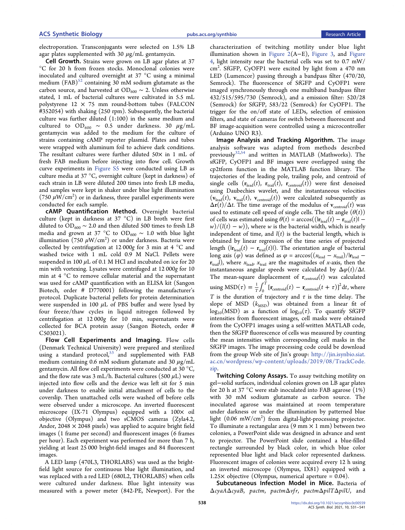electroporation. Transconjugants were selected on 1.5% LB agar plates supplemented with 30  $\mu$ g/mL gentamycin.

Cell Growth. Strains were grown on LB agar plates at 37 °C for 20 h from frozen stocks. Monoclonal colonies were inoculated and cultured overnight at 37 °C using a minimal medium  $(FAB)^{52}$  $(FAB)^{52}$  $(FAB)^{52}$  containing 30 mM sodium glutamate as the carbon source, and harvested at OD<sub>600</sub>  $\sim$  2. Unless otherwise stated, 1 mL of bacterial cultures were cultivated in 5.5 mL polystyrene  $12 \times 75$  mm round-bottom tubes (FALCON #352054) with shaking (250 rpm). Subsequently, the bacterial culture was further diluted (1:100) in the same medium and cultured to  $OD_{600} \sim 0.5$  under darkness. 30  $\mu$ g/mL gentamycin was added to the medium for the culture of strains containing cAMP reporter plasmid. Plates and tubes were wrapped with aluminum foil to achieve dark conditions. The resultant cultures were further diluted 50 $\times$  in 1 mL of fresh FAB medium before injecting into flow cell. Growth curve experiments in [Figure S5](http://pubs.acs.org/doi/suppl/10.1021/acssynbio.0c00559/suppl_file/sb0c00559_si_003.pdf) were conducted using LB as culture media at 37 °C, overnight culture (kept in darkness) of each strain in LB were diluted 200 times into fresh LB media, and samples were kept in shaker under blue light illumination (750  $\mu$ W/cm<sup>2</sup>) or in darkness, three parallel experiments were conducted for each sample.

cAMP Quantification Method. Overnight bacterial culture (kept in darkness at 37 °C) in LB broth were first diluted to OD<sub>600</sub>  $\sim$  2.0 and then diluted 500 times to fresh LB media and grown at 37 °C to OD<sub>600</sub>  $\sim$  1.0 with blue light illumination  $(750 \; \mu \mathrm{W/cm}^2)$  or under darkness. Bacteria were collected by centrifugation at 12 000g for 3 min at 4 °C and washed twice with 1 mL cold 0.9 M NaCl. Pellets were suspended in 100  $\mu$ L of 0.1 M HCl and incubated on ice for 20 min with vortexing. Lysates were centrifuged at 12 000g for 10 min at 4 °C to remove cellular material and the supernatant was used for cAMP quantification with an ELISA kit (Sangon Biotech, order # D770001) following the manufacturer's protocol. Duplicate bacterial pellets for protein determination were suspended in 100  $\mu$ L of PBS buffer and were lysed by four freeze/thaw cycles in liquid nitrogen followed by centrifugation at 12 000g for 10 min, supernatants were collected for BCA protein assay (Sangon Biotech, order # C503021).

Flow Cell Experiments and Imaging. Flow cells (Denmark Technical University) were prepared and sterilized using a standard protocol, $53$  and supplemented with FAB medium containing 0.6 mM sodium glutamate and 30  $\mu$ g/mL gentamycin. All flow cell experiments were conducted at 30  $^{\circ}$ C, and the flow rate was 3 mL/h. Bacterial cultures (500  $\mu$ L) were injected into flow cells and the device was left sit for 5 min under darkness to enable initial attachment of cells to the coverslip. Then unattached cells were washed off before cells were observed under a microscope. An inverted fluorescent microscope (IX-71 Olympus) equipped with a 100x oil objective (Olympus) and two sCMOS cameras (Zyla4.2, Andor,  $2048 \times 2048$  pixels) was applied to acquire bright field images (1 frame per second) and fluorescent images (6 frames per hour). Each experiment was performed for more than 7 h, yielding at least 25 000 bright-field images and 84 fluorescent images.

A LED lamp (470L3, THORLABS) was used as the brightfield light source for continuous blue light illumination, and was replaced with a red LED (680L2, THORLABS) when cells were cultured under darkness. Blue light intensity was measured with a power meter (842-PE, Newport). For the

characterization of twitching motility under blue light illumination shown in [Figure 2\(](#page-2-0)A−E), [Figure 3](#page-3-0), and [Figure](#page-4-0) [4](#page-4-0), light intensity near the bacterial cells was set to 0.7 mW/ cm<sup>2</sup>. SfGFP, CyOFP1 were excited by light from a 470 nm LED (Lumencor) passing through a bandpass filter (470/20, Semrock). The fluorescence of SfGFP and CyOFP1 were imaged synchronously through one multiband bandpass filter 432/515/595/730 (Semrock), and a emission filter: 520/28 (Semrock) for SfGFP, 583/22 (Semrock) for CyOFP1. The trigger for the on/off state of LEDs, selection of emission filters, and state of cameras for switch between fluorescent and BF image-acquisition were controlled using a microcontroller (Arduino UNO R3).

Image Analysis and Tracking Algorithm. The image analysis software was adapted from methods described previously<sup>[32](#page-9-0),[54](#page-10-0)</sup> and written in MATLAB (Mathworks). The sfGFP, CyOFP1 and BF images were overlapped using the cp2tform function in the MATLAB function library. The trajectories of the leading pole, trailing pole, and centroid of single cells  $(\mathbf{r}_{\text{lead}}(t), \mathbf{r}_{\text{trail}}(t), \mathbf{r}_{\text{centroid}}(t))$  were first denoised using Daubechies wavelet, and the instantaneous velocities  $(v_{\text{lead}}(t), v_{\text{trail}}(t), v_{\text{centroid}}(t))$  were calculated subsequently as  $\Delta \mathbf{r}(t)/\Delta t$ . The time average of the modulus of  $\mathbf{v}_{\text{centroid}}(t)$  was used to estimate cell speed of single cells. The tilt angle  $(\theta(t))$ of cells was estimated using  $\theta(t) = \arccos((|\mathbf{r}_{\text{lead}}(t) - \mathbf{r}_{\text{trail}}(t)|$  $w$ )/(l(t) – w)), where w is the bacterial width, which is nearly independent of time, and  $l(t)$  is the bacterial length, which is obtained by linear regression of the time series of projected length ( $|r_{\text{lead}}(t) - r_{\text{trail}}(t)|$ ). The orientation angle of bacterial long axis ( $\varphi$ ) was defined as  $\varphi = \arccos((x_{\text{lead}} - x_{\text{trail}})/|r_{\text{lead}}$  $r_{\text{trail}}$ ), where  $x_{\text{lead}}$ ,  $x_{\text{trail}}$  are the magnitudes of x-axis, then the instantaneous angular speeds were calculated by  $\Delta \varphi(t)/\Delta t$ . The mean-square displacement of  $r_{\text{centroid}}(t)$  was calculated using  $\text{MSD}(\tau) = \frac{1}{T} \int_0^T \left[ \mathbf{r}_{\text{centroid}}(t) - \mathbf{r}_{\text{centroid}}(t + \tau) \right]^2 dt$ , where T is the duration of trajectory and  $\tau$  is the time delay. The slope of MSD  $(k_{\text{MSD}})$  was obtained from a linear fit of  $log_{10}(MSD)$  as a function of  $log_{10}(\tau)$ . To quantify SfGFP intensities from fluorescent images, cell masks were obtained from the CyOFP1 images using a self-written MATLAB code, then the SfGFP fluorescence of cells was measured by counting the mean intensities within corresponding cell masks in the SfGFP images. The image processing code could be download from the group Web site of Jin's group: [http://jin.isynbio.siat.](http://jin.isynbio.siat.ac.cn/wordpress/wp-content/uploads/2019/08/TrackCode.zip) [ac.cn/wordpress/wp-content/uploads/2019/08/TrackCode.](http://jin.isynbio.siat.ac.cn/wordpress/wp-content/uploads/2019/08/TrackCode.zip) [zip.](http://jin.isynbio.siat.ac.cn/wordpress/wp-content/uploads/2019/08/TrackCode.zip)

Twitching Colony Assays. To assay twitching motility on gel−solid surfaces, individual colonies grown on LB agar plates for 20 h at 37 °C were stab inoculated into FAB agarose (1%) with 30 mM sodium glutamate as carbon source. The inoculated agarose was maintained at room temperature under darkness or under the illumination by patterned blue light (0.06 mW/cm<sup>2</sup>) from digital-light-processing projector. To illuminate a rectangular area (9 mm  $\times$  1 mm) between two colonies, a PowerPoint slide was designed in advance and sent to projector. The PowerPoint slide contained a blue-filled rectangle surrounded by black color, in which blue color represented blue light and black color represented darkness. Fluorescent images of colonies were acquired every 12 h using an inverted microscope (Olympus, IX81) equipped with a  $1.25\times$  objective (Olympus, numerical aperture = 0.04).

Subcutaneous Infection Model in Mice. Bacteria of ΔcyaAΔcyaB, pactm, pactmΔvf r, pactmΔpilTΔpilU, and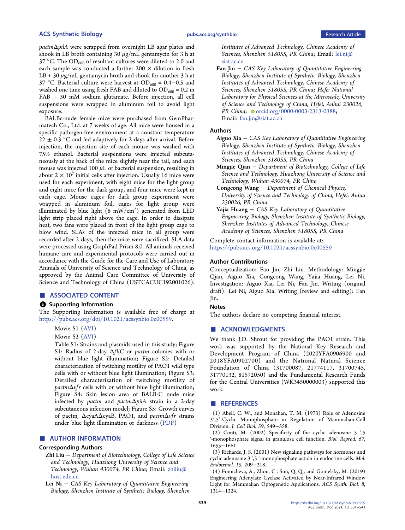<span id="page-8-0"></span>pactmΔpilA were scrapped from overnight LB agar plates and shook in LB broth containing 30  $\mu$ g/mL gentamycin for 3 h at 37 °C. The OD<sub>600</sub> of resultant cultures were diluted to 2.0 and each sample was conducted a further 200  $\times$  dilution in fresh  $LB + 30 \mu g/mL$  gentamycin broth and shook for another 3 h at 37 °C. Bacterial culture were harvest at OD<sub>600</sub> = 0.4–0.5 and washed one time using fresh FAB and diluted to  $OD_{600} = 0.2$  in FAB + 30 mM sodium glutamate. Before injection, all cell suspensions were wrapped in aluminum foil to avoid light exposure.

BALBc-nude female mice were purchased from GemPharmatech Co., Ltd. at 7 weeks of age. All mice were housed in a specific pathogen-free environment at a constant temperature  $22 \pm 0.3$  °C and fed adaptively for 2 days after arrival. Before injection, the injection site of each mouse was washed with 75% ethanol. Bacterial suspensions were injected subcutaneously at the back of the mice slightly near the tail, and each mouse was injected 100  $\mu$ L of bacterial suspension, resulting in about  $2 \times 10^7$  initial cells after injection. Usually 16 mice were used for each experiment, with eight mice for the light group and eight mice for the dark group, and four mice were kept in each cage. Mouse cages for dark group experiment were wrapped in aluminum foil, cages for light group were illuminated by blue light  $(8\,$  mW/cm $^2)$  generated from LED light strip placed right above the cage. In order to dissipate heat, two fans were placed in front of the light group cage to blow wind. SLAs of the infected mice in all group were recorded after 2 days, then the mice were sacrificed. SLA data were processed using GraphPad Prism 8.0. All animals received humane care and experimental protocols were carried out in accordance with the Guide for the Care and Use of Laboratory Animals of University of Science and Technology of China, as approved by the Animal Care Committee of University of Science and Technology of China (USTCACUC192001026).

#### ■ ASSOCIATED CONTENT

#### **9** Supporting Information

The Supporting Information is available free of charge at [https://pubs.acs.org/doi/10.1021/acssynbio.0c00559](https://pubs.acs.org/doi/10.1021/acssynbio.0c00559?goto=supporting-info).

#### Movie S1 [\(AVI\)](http://pubs.acs.org/doi/suppl/10.1021/acssynbio.0c00559/suppl_file/sb0c00559_si_001.avi)

Movie S2 [\(AVI\)](http://pubs.acs.org/doi/suppl/10.1021/acssynbio.0c00559/suppl_file/sb0c00559_si_002.avi)

Table S1: Strains and plasmids used in this study; Figure S1: Radius of 2-day ΔfliC or pactm colonies with or without blue light illumination; Figure S2: Detailed characterization of twitching motility of PAO1 wild type cells with or without blue light illumination; Figure S3: Detailed characterization of twitching motility of  $\mathit{pactm}\Delta\mathit{vfr}$  cells with or without blue light illumination; Figure S4: Skin lesion area of BALB-C nude mice infected by pactm and pactmΔpilA strain in a 2-day subcutaneous infection model; Figure S5: Growth curves of pactm, ΔcyaAΔcyaB, PAO1, and pactm $\Delta$ vfr strains under blue light illumination or darkness [\(PDF](http://pubs.acs.org/doi/suppl/10.1021/acssynbio.0c00559/suppl_file/sb0c00559_si_003.pdf))

#### ■ AUTHOR INFORMATION

#### Corresponding Authors

- Zhi Liu <sup>−</sup> Department of Biotechnology, College of Life Science and Technology, Huazhong University of Science and Technology, Wuhan 430074, PR China; Email: [zhiliu@](mailto:zhiliu@hust.edu.cn) [hust.edu.cn](mailto:zhiliu@hust.edu.cn)
- Lei Ni <sup>−</sup> CAS Key Laboratory of Quantitative Engineering Biology, Shenzhen Institute of Synthetic Biology, Shenzhen

Institutes of Advanced Technology, Chinese Academy of Sciences, Shenzhen 518055, PR China; Email: [lei.ni@](mailto:lei.ni@siat.ac.cn) [siat.ac.cn](mailto:lei.ni@siat.ac.cn)

Fan Jin <sup>−</sup> CAS Key Laboratory of Quantitative Engineering Biology, Shenzhen Institute of Synthetic Biology, Shenzhen Institutes of Advanced Technology, Chinese Academy of Sciences, Shenzhen 518055, PR China; Hefei National Laboratory for Physical Sciences at the Microscale, University of Science and Technology of China, Hefei, Anhui 230026, PR China; [orcid.org/0000-0003-2313-0388;](http://orcid.org/0000-0003-2313-0388) Email: [fan.jin@siat.ac.cn](mailto:fan.jin@siat.ac.cn)

#### Authors

- Aiguo Xia <sup>−</sup> CAS Key Laboratory of Quantitative Engineering Biology, Shenzhen Institute of Synthetic Biology, Shenzhen Institutes of Advanced Technology, Chinese Academy of Sciences, Shenzhen 518055, PR China
- Mingjie Qian <sup>−</sup> Department of Biotechnology, College of Life Science and Technology, Huazhong University of Science and Technology, Wuhan 430074, PR China
- Congcong Wang <sup>−</sup> Department of Chemical Physics, University of Science and Technology of China, Hefei, Anhui 230026, PR China
- Yajia Huang <sup>−</sup> CAS Key Laboratory of Quantitative Engineering Biology, Shenzhen Institute of Synthetic Biology, Shenzhen Institutes of Advanced Technology, Chinese Academy of Sciences, Shenzhen 518055, PR China

Complete contact information is available at: [https://pubs.acs.org/10.1021/acssynbio.0c00559](https://pubs.acs.org/doi/10.1021/acssynbio.0c00559?ref=pdf)

#### Author Contributions

Conceptualization: Fan Jin, Zhi Liu. Methodology: Mingjie Qian, Aiguo Xia, Congcong Wang, Yajia Huang, Lei Ni. Investigation: Aiguo Xia, Lei Ni, Fan Jin. Writing (original draft): Lei Ni, Aiguo Xia. Writing (review and editing): Fan Jin.

#### Notes

The authors declare no competing financial interest.

#### ■ ACKNOWLEDGMENTS

We thank J.D. Shrout for providing the PAO1 strain. This work was supported by the National Key Research and Development Program of China (2020YFA0906900 and 2018YFA0902700) and the National Natural Science Foundation of China (31700087, 21774117, 31700745, 31770132, 81572050) and the Fundamental Research Funds for the Central Universities (WK3450000003) supported this work.

#### ■ REFERENCES

(1) Abell, C. W., and Monahan, T. M. (1973[\) Role of Adenosine](https://dx.doi.org/10.1083/jcb.59.3.549) 3′,5′[-Cyclic Monophosphate in Regulation of Mammalian-Cell](https://dx.doi.org/10.1083/jcb.59.3.549) [Division.](https://dx.doi.org/10.1083/jcb.59.3.549) J. Cell Biol. 59, 549−558.

(2) Conti, M. (2002) [Specificity of the cyclic adenosine 3](https://dx.doi.org/10.1095/biolreprod.102.004952) ',5 '[-monophosphate signal in granulosa cell function.](https://dx.doi.org/10.1095/biolreprod.102.004952) Biol. Reprod. 67, 1653−1661.

(3) Richards, J. S. (2001[\) New signaling pathways for hormones and](https://dx.doi.org/10.1210/me.15.2.209) cyclic adenosine 3 ',5 '[-monophosphate action in endocrine cells.](https://dx.doi.org/10.1210/me.15.2.209) Mol. Endocrinol. 15, 209−218.

(4) Fomicheva, A., Zhou, C., Sun, Q.-Q., and Gomelsky, M. (2019) [Engineering Adenylate Cyclase Activated by Near-Infrared Window](https://dx.doi.org/10.1021/acssynbio.8b00528) [Light for Mammalian Optogenetic Applications.](https://dx.doi.org/10.1021/acssynbio.8b00528) ACS Synth. Biol. 8, 1314−1324.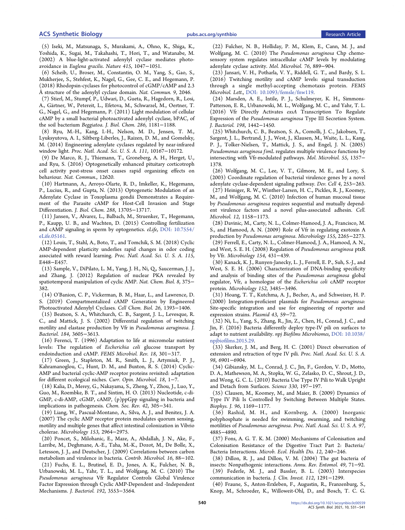<span id="page-9-0"></span>(5) Iseki, M., Matsunaga, S., Murakami, A., Ohno, K., Shiga, K., Yoshida, K., Sugai, M., Takahashi, T., Hori, T., and Watanabe, M. (2002[\) A blue-light-activated adenylyl cyclase mediates photo](https://dx.doi.org/10.1038/4151047a)avoidance in [Euglena gracilis](https://dx.doi.org/10.1038/4151047a). Nature 415, 1047−1051.

(6) Scheib, U., Broser, M., Constantin, O. M., Yang, S., Gao, S., Mukherjee, S., Stehfest, K., Nagel, G., Gee, C. E., and Hegemann, P. (2018) [Rhodopsin-cyclases for photocontrol of cGMP/cAMP and 2.3](https://dx.doi.org/10.1038/s41467-018-04428-w) [Å structure of the adenylyl cyclase domain.](https://dx.doi.org/10.1038/s41467-018-04428-w) Nat. Commun. 9, 2046.

(7) Stierl, M., Stumpf, P., Udwari, D., Gueta, R., Hagedorn, R., Losi, A., Gärtner, W., Petereit, L., Efetova, M., Schwarzel, M., Oertner, T. G., Nagel, G., and Hegemann, P. (2011[\) Light modulation of cellular](https://dx.doi.org/10.1074/jbc.M110.185496) [cAMP by a small bacterial photoactivated adenylyl cyclase, bPAC, of](https://dx.doi.org/10.1074/jbc.M110.185496) [the soil bacterium](https://dx.doi.org/10.1074/jbc.M110.185496) Beggiatoa. J. Biol. Chem. 286, 1181−1188.

(8) Ryu, M.-H., Kang, I.-H., Nelson, M. D., Jensen, T. M., Lyuksyutova, A. I., Siltberg-Liberles, J., Raizen, D. M., and Gomelsky, M. (2014[\) Engineering adenylate cyclases regulated by near-infrared](https://dx.doi.org/10.1073/pnas.1324301111) [window light.](https://dx.doi.org/10.1073/pnas.1324301111) Proc. Natl. Acad. Sci. U. S. A. 111, 10167−10172.

(9) De Marco, R. J., Thiemann, T., Groneberg, A. H., Herget, U., and Ryu, S. (2016) Optogenetically enhanced pituitary corticotroph cell activity post-stress onset causes rapid organizing effects on behaviour. Nat. Commun., 12620.

(10) Hartmann, A., Arroyo-Olarte, R. D., Imkeller, K., Hegemann, P., Lucius, R., and Gupta, N. (2013[\) Optogenetic Modulation of an](https://dx.doi.org/10.1074/jbc.M113.465583) [Adenylate Cyclase in Toxoplasma gondii Demonstrates a Require](https://dx.doi.org/10.1074/jbc.M113.465583)[ment of the Parasite cAMP for Host-Cell Invasion and Stage](https://dx.doi.org/10.1074/jbc.M113.465583) [Differentiation.](https://dx.doi.org/10.1074/jbc.M113.465583) J. Biol. Chem. 288, 13705−13717.

(11) Jansen, V., Alvarez, L., Balbach, M., Struenker, T., Hegemann, P., Kaupp, U. B., and Wachten, D. (2015[\) Controlling fertilization](https://dx.doi.org/10.7554/eLife.05161) [and cAMP signaling in sperm by optogenetics.](https://dx.doi.org/10.7554/eLife.05161) eLife, [DOI: 10.7554/](https://dx.doi.org/10.7554/eLife.05161?ref=pdf) [eLife.05161.](https://dx.doi.org/10.7554/eLife.05161?ref=pdf)

(12) Louis, T., Stahl, A., Boto, T., and Tomchik, S. M. (2018) [Cyclic](https://dx.doi.org/10.1073/pnas.1709037115) [AMP-dependent plasticity underlies rapid changes in odor coding](https://dx.doi.org/10.1073/pnas.1709037115) [associated with reward learning.](https://dx.doi.org/10.1073/pnas.1709037115) Proc. Natl. Acad. Sci. U. S. A. 115, E448−E457.

(13) Sample, V., DiPilato, L. M., Yang, J. H., Ni, Q., Saucerman, J. J., and Zhang, J. (2012) [Regulation of nuclear PKA revealed by](https://dx.doi.org/10.1038/nchembio.799) [spatiotemporal manipulation of cyclic AMP.](https://dx.doi.org/10.1038/nchembio.799) Nat. Chem. Biol. 8, 375− 382.

(14) O'Banion, C. P., Vickerman, B. M., Haar, L., and Lawrence, D. S. (2019) [Compartmentalized cAMP Generation by Engineered](https://dx.doi.org/10.1016/j.chembiol.2019.07.004) [Photoactivated Adenylyl Cyclases.](https://dx.doi.org/10.1016/j.chembiol.2019.07.004) Cell Chem. Biol. 26, 1393−1406.

(15) Beatson, S. A., Whitchurch, C. B., Sargent, J. L., Levesque, R. C., and Mattick, J. S. (2002) [Differential regulation of twitching](https://dx.doi.org/10.1128/JB.184.13.3605-3613.2002) [motility and elastase production by Vfr in](https://dx.doi.org/10.1128/JB.184.13.3605-3613.2002) Pseudomonas aeruginosa. J. Bacteriol. 184, 3605−3613.

(16) Ferenci, T. (1996[\) Adaptation to life at micromolar nutrient](https://dx.doi.org/10.1111/j.1574-6976.1996.tb00246.x) [levels: The regulation of](https://dx.doi.org/10.1111/j.1574-6976.1996.tb00246.x) Escherichia coli glucose transport by [endoinduction and cAMP.](https://dx.doi.org/10.1111/j.1574-6976.1996.tb00246.x) FEMS Microbiol. Rev. 18, 301−317.

(17) Green, J., Stapleton, M. R., Smith, L. J., Artymiuk, P. J., Kahramanoglou, C., Hunt, D. M., and Buxton, R. S. (2014[\) Cyclic-](https://dx.doi.org/10.1016/j.mib.2014.01.003)[AMP and bacterial cyclic-AMP receptor proteins revisited: adaptation](https://dx.doi.org/10.1016/j.mib.2014.01.003) for [different ecological niches.](https://dx.doi.org/10.1016/j.mib.2014.01.003) Curr. Opin. Microbiol. 18, 1−7.

(18) Kalia, D., Merey, G., Nakayama, S., Zheng, Y., Zhou, J., Luo, Y., Guo, M., Roembke, B. T., and Sintim, H. O. (2013[\) Nucleotide, c-di-](https://dx.doi.org/10.1039/C2CS35206K)[GMP, c-di-AMP, cGMP, cAMP, \(p\)ppGpp signaling in bacteria and](https://dx.doi.org/10.1039/C2CS35206K) [implications in pathogenesis.](https://dx.doi.org/10.1039/C2CS35206K) Chem. Soc. Rev. 42, 305−341.

(19) Liang, W., Pascual-Montano, A., Silva, A. J., and Benitez, J. A. (2007) [The cyclic AMP receptor protein modulates quorum sensing,](https://dx.doi.org/10.1099/mic.0.2007/006668-0) [motility and multiple genes that affect intestinal colonization in Vibrio](https://dx.doi.org/10.1099/mic.0.2007/006668-0) [cholerae.](https://dx.doi.org/10.1099/mic.0.2007/006668-0) Microbiology 153, 2964−2975.

(20) Poncet, S., Milohanic, E., Maze, A., Abdallah, J. N., Ake, F., Larribe, M., Deghmane, A.-E., Taha, M.-K., Dozot, M., De Bolle, X., Letesson, J. J., and Deutscher, J. (2009) [Correlations between carbon](https://dx.doi.org/10.1159/000219374) [metabolism and virulence in bacteria.](https://dx.doi.org/10.1159/000219374) Contrib. Microbiol. 16, 88−102.

(21) Fuchs, E. L., Brutinel, E. D., Jones, A. K., Fulcher, N. B., Urbanowski, M. L., Yahr, T. L., and Wolfgang, M. C. (2010) [The](https://dx.doi.org/10.1128/JB.00363-10) Pseudomonas aeruginosa [Vfr Regulator Controls Global Virulence](https://dx.doi.org/10.1128/JB.00363-10) [Factor Expression through Cyclic AMP-Dependent and -Independent](https://dx.doi.org/10.1128/JB.00363-10) [Mechanisms.](https://dx.doi.org/10.1128/JB.00363-10) J. Bacteriol. 192, 3553−3564.

(22) Fulcher, N. B., Holliday, P. M., Klem, E., Cann, M. J., and Wolfgang, M. C. (2010) The [Pseudomonas aeruginosa](https://dx.doi.org/10.1111/j.1365-2958.2010.07135.x) Chp chemo[sensory system regulates intracellular cAMP levels by modulating](https://dx.doi.org/10.1111/j.1365-2958.2010.07135.x) [adenylate cyclase activity.](https://dx.doi.org/10.1111/j.1365-2958.2010.07135.x) Mol. Microbiol. 76, 889−904.

(23) Jansari, V. H., Potharla, V. Y., Riddell, G. T., and Bardy, S. L. (2016) [Twitching motility and cAMP levels: signal transduction](https://dx.doi.org/10.1093/femsle/fnw119) [through a single methyl-accepting chemotaxis protein.](https://dx.doi.org/10.1093/femsle/fnw119) FEMS Microbiol. Lett., [DOI: 10.1093/femsle/fnw119](https://dx.doi.org/10.1093/femsle/fnw119?ref=pdf).

(24) Marsden, A. E., Intile, P. J., Schulmeyer, K. H., Simmons-Patterson, E. R., Urbanowski, M. L., Wolfgang, M. C., and Yahr, T. L. (2016) Vfr Directly Activates exsA [Transcription To Regulate](https://dx.doi.org/10.1128/JB.00049-16) Expression of the Pseudomonas aeruginosa [Type III Secretion System.](https://dx.doi.org/10.1128/JB.00049-16) J. Bacteriol. 198, 1442−1450.

(25) Whitchurch, C. B., Beatson, S. A., Comolli, J. C., Jakobsen, T., Sargent, J. L., Bertrand, J. J., West, J., Klausen, M., Waite, L. L., Kang, P. J., Tolker-Nielsen, T., Mattick, J. S., and Engel, J. N. (2005) Pseudomonas aeruginosa fimL [regulates multiple virulence functions by](https://dx.doi.org/10.1111/j.1365-2958.2005.04479.x) [intersecting with Vfr-modulated pathways.](https://dx.doi.org/10.1111/j.1365-2958.2005.04479.x) Mol. Microbiol. 55, 1357− 1378.

(26) Wolfgang, M. C., Lee, V. T., Gilmore, M. E., and Lory, S. (2003) [Coordinate regulation of bacterial virulence genes by a novel](https://dx.doi.org/10.1016/S1534-5807(03)00019-4) [adenylate cyclase-dependent signaling pathway.](https://dx.doi.org/10.1016/S1534-5807(03)00019-4) Dev. Cell 4, 253−263. (27) Heiniger, R. W., Winther-Larsen, H. C., Pickles, R. J., Koomey,

M., and Wolfgang, M. C. (2010[\) Infection of human mucosal tissue](https://dx.doi.org/10.1111/j.1462-5822.2010.01461.x) by Pseudomonas aeruginosa [requires sequential and mutually depend](https://dx.doi.org/10.1111/j.1462-5822.2010.01461.x)[ent virulence factors and a novel pilus-associated adhesin.](https://dx.doi.org/10.1111/j.1462-5822.2010.01461.x) Cell. Microbiol. 12, 1158−1173.

(28) Davinic, M., Carty, N. L., Colmer-Hamood, J. A., Francisco, M. S., and Hamood, A. N. (2009) [Role of Vfr in regulating exotoxin A](https://dx.doi.org/10.1099/mic.0.028373-0) production by [Pseudomonas aeruginosa](https://dx.doi.org/10.1099/mic.0.028373-0). Microbiology 155, 2265−2273.

(29) Ferrell, E., Carty, N. L., Colmer-Hamood, J. A., Hamood, A. N., and West, S. E. H. (2008) Regulation of [Pseudomonas aeruginosa](https://dx.doi.org/10.1099/mic.0.2007/011577-0) ptxR [by Vfr.](https://dx.doi.org/10.1099/mic.0.2007/011577-0) Microbiology 154, 431−439.

(30) Kanack, K. J., Runyen-Janecky, L. J., Ferrell, E. P., Suh, S.-J., and West, S. E. H. (2006) [Characterization of DNA-binding specificity](https://dx.doi.org/10.1099/mic.0.29008-0) [and analysis of binding sites of the](https://dx.doi.org/10.1099/mic.0.29008-0) Pseudomonas aeruginosa global [regulator, Vfr, a homologue of the](https://dx.doi.org/10.1099/mic.0.29008-0) Escherichia coli cAMP receptor [protein.](https://dx.doi.org/10.1099/mic.0.29008-0) Microbiology 152, 3485−3496.

(31) Hoang, T. T., Kutchma, A. J., Becher, A., and Schweizer, H. P. (2000) [Integration-proficient plasmids for](https://dx.doi.org/10.1006/plas.1999.1441) Pseudomonas aeruginosa: [Site-specific integration and use for engineering of reporter and](https://dx.doi.org/10.1006/plas.1999.1441) [expression strains.](https://dx.doi.org/10.1006/plas.1999.1441) Plasmid 43, 59−72.

(32) Ni, L., Yang, S., Zhang, R., Jin, Z., Chen, H., Conrad, J. C., and Jin, F. (2016[\) Bacteria differently deploy type-IV pili on surfaces to](https://dx.doi.org/10.1038/npjbiofilms.2015.29) [adapt to nutrient availability.](https://dx.doi.org/10.1038/npjbiofilms.2015.29) npj Biofilms Microbiomes, [DOI: 10.1038/](https://dx.doi.org/10.1038/npjbiofilms.2015.29?ref=pdf) [npjbiofilms.2015.29](https://dx.doi.org/10.1038/npjbiofilms.2015.29?ref=pdf).

(33) Skerker, J. M., and Berg, H. C. (2001[\) Direct observation of](https://dx.doi.org/10.1073/pnas.121171698) [extension and retraction of type IV pili.](https://dx.doi.org/10.1073/pnas.121171698) Proc. Natl. Acad. Sci. U. S. A. 98, 6901−6904.

(34) Gibiansky, M. L., Conrad, J. C., Jin, F., Gordon, V. D., Motto, D. A., Mathewson, M. A., Stopka, W. G., Zelasko, D. C., Shrout, J. D., and Wong, G. C. L. (2010) [Bacteria Use Type IV Pili to Walk Upright](https://dx.doi.org/10.1126/science.1194238) [and Detach from Surfaces.](https://dx.doi.org/10.1126/science.1194238) Science 330, 197−197.

(35) Clausen, M., Koomey, M., and Maier, B. (2009) [Dynamics of](https://dx.doi.org/10.1016/j.bpj.2008.10.017) [Type IV Pili Is Controlled by Switching Between Multiple States.](https://dx.doi.org/10.1016/j.bpj.2008.10.017) Biophys. J. 96, 1169−1177.

(36) Rashid, M. H., and Kornberg, A. (2000) [Inorganic](https://dx.doi.org/10.1073/pnas.060030097) [polyphosphate is needed for swimming, swarming, and twitching](https://dx.doi.org/10.1073/pnas.060030097) motilities of [Pseudomonas aeruginosa](https://dx.doi.org/10.1073/pnas.060030097). Proc. Natl. Acad. Sci. U. S. A. 97, 4885−4890.

(37) Fons, A. G. T. K. M. (2000) Mechanisms of Colonisation and Colonisation Resistance of the Digestive Tract Part 2: Bacteria/ Bacteria Interactions. Microb. Ecol. Health Dis. 12, 240−246.

(38) Dillon, R. J., and Dillon, V. M. (2004[\) The gut bacteria of](https://dx.doi.org/10.1146/annurev.ento.49.061802.123416) [insects: Nonpathogenic interactions.](https://dx.doi.org/10.1146/annurev.ento.49.061802.123416) Annu. Rev. Entomol. 49, 71−92. (39) Federle, M. J., and Bassler, B. L. (2003) [Interspecies](https://dx.doi.org/10.1172/JCI20195) [communication in bacteria.](https://dx.doi.org/10.1172/JCI20195) J. Clin. Invest. 112, 1291−1299.

(40) Fraune, S., Anton-Erxleben, F., Augustin, R., Franzenburg, S., Knop, M., Schroeder, K., Willoweit-Ohl, D., and Bosch, T. C. G.